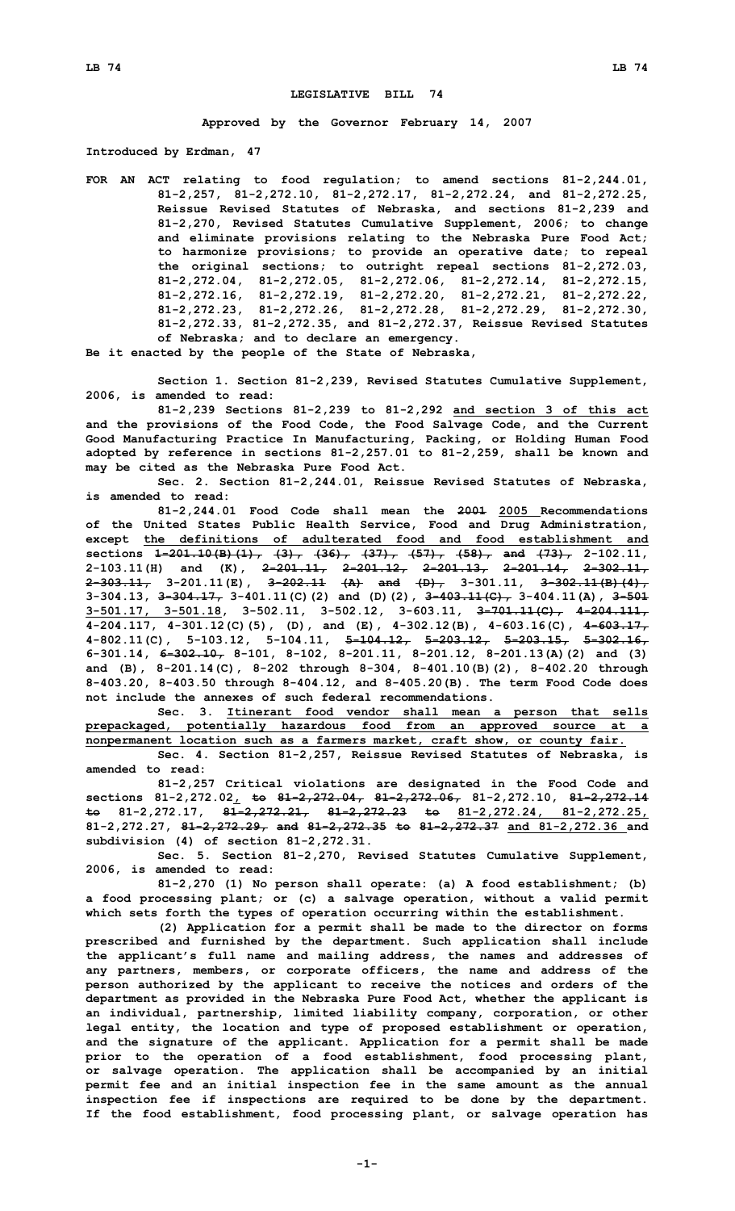## **LEGISLATIVE BILL 74**

**Approved by the Governor February 14, 2007**

**Introduced by Erdman, 47**

**FOR AN ACT relating to food regulation; to amend sections 81-2,244.01, 81-2,257, 81-2,272.10, 81-2,272.17, 81-2,272.24, and 81-2,272.25, Reissue Revised Statutes of Nebraska, and sections 81-2,239 and 81-2,270, Revised Statutes Cumulative Supplement, 2006; to change and eliminate provisions relating to the Nebraska Pure Food Act; to harmonize provisions; to provide an operative date; to repeal the original sections; to outright repeal sections 81-2,272.03, 81-2,272.04, 81-2,272.05, 81-2,272.06, 81-2,272.14, 81-2,272.15, 81-2,272.16, 81-2,272.19, 81-2,272.20, 81-2,272.21, 81-2,272.22, 81-2,272.23, 81-2,272.26, 81-2,272.28, 81-2,272.29, 81-2,272.30, 81-2,272.33, 81-2,272.35, and 81-2,272.37, Reissue Revised Statutes of Nebraska; and to declare an emergency.**

**Be it enacted by the people of the State of Nebraska,**

**Section 1. Section 81-2,239, Revised Statutes Cumulative Supplement, 2006, is amended to read:**

**81-2,239 Sections 81-2,239 to 81-2,292 and section 3 of this act and the provisions of the Food Code, the Food Salvage Code, and the Current Good Manufacturing Practice In Manufacturing, Packing, or Holding Human Food adopted by reference in sections 81-2,257.01 to 81-2,259, shall be known and may be cited as the Nebraska Pure Food Act.**

**Sec. 2. Section 81-2,244.01, Reissue Revised Statutes of Nebraska, is amended to read:**

**81-2,244.01 Food Code shall mean the 2001 2005 Recommendations of the United States Public Health Service, Food and Drug Administration, except the definitions of adulterated food and food establishment and sections 1-201.10(B)(1), (3), (36), (37), (57), (58), and (73), 2-102.11, 2-103.11(H) and (K), 2-201.11, 2-201.12, 2-201.13, 2-201.14, 2-302.11, 2-303.11, 3-201.11(E), 3-202.11 (A) and (D), 3-301.11, 3-302.11(B)(4), 3-304.13, 3-304.17, 3-401.11(C)(2) and (D)(2), 3-403.11(C), 3-404.11(A), 3-501 3-501.17, 3-501.18, 3-502.11, 3-502.12, 3-603.11, 3-701.11(C), 4-204.111, 4-204.117, 4-301.12(C)(5), (D), and (E), 4-302.12(B), 4-603.16(C), 4-603.17, 4-802.11(C), 5-103.12, 5-104.11, 5-104.12, 5-203.12, 5-203.15, 5-302.16, 6-301.14, 6-302.10, 8-101, 8-102, 8-201.11, 8-201.12, 8-201.13(A)(2) and (3) and (B), 8-201.14(C), 8-202 through 8-304, 8-401.10(B)(2), 8-402.20 through 8-403.20, 8-403.50 through 8-404.12, and 8-405.20(B). The term Food Code does not include the annexes of such federal recommendations.**

**Sec. 3. Itinerant food vendor shall mean <sup>a</sup> person that sells prepackaged, potentially hazardous food from an approved source at <sup>a</sup> nonpermanent location such as <sup>a</sup> farmers market, craft show, or county fair.**

**Sec. 4. Section 81-2,257, Reissue Revised Statutes of Nebraska, is amended to read:**

**81-2,257 Critical violations are designated in the Food Code and sections 81-2,272.02, to 81-2,272.04, 81-2,272.06, 81-2,272.10, 81-2,272.14 to 81-2,272.17, 81-2,272.21, 81-2,272.23 to 81-2,272.24, 81-2,272.25, 81-2,272.27, 81-2,272.29, and 81-2,272.35 to 81-2,272.37 and 81-2,272.36 and subdivision (4) of section 81-2,272.31.**

**Sec. 5. Section 81-2,270, Revised Statutes Cumulative Supplement, 2006, is amended to read:**

**81-2,270 (1) No person shall operate: (a) <sup>A</sup> food establishment; (b) <sup>a</sup> food processing plant; or (c) <sup>a</sup> salvage operation, without <sup>a</sup> valid permit which sets forth the types of operation occurring within the establishment.**

**(2) Application for <sup>a</sup> permit shall be made to the director on forms prescribed and furnished by the department. Such application shall include the applicant's full name and mailing address, the names and addresses of any partners, members, or corporate officers, the name and address of the person authorized by the applicant to receive the notices and orders of the department as provided in the Nebraska Pure Food Act, whether the applicant is an individual, partnership, limited liability company, corporation, or other legal entity, the location and type of proposed establishment or operation, and the signature of the applicant. Application for <sup>a</sup> permit shall be made prior to the operation of <sup>a</sup> food establishment, food processing plant, or salvage operation. The application shall be accompanied by an initial permit fee and an initial inspection fee in the same amount as the annual inspection fee if inspections are required to be done by the department. If the food establishment, food processing plant, or salvage operation has**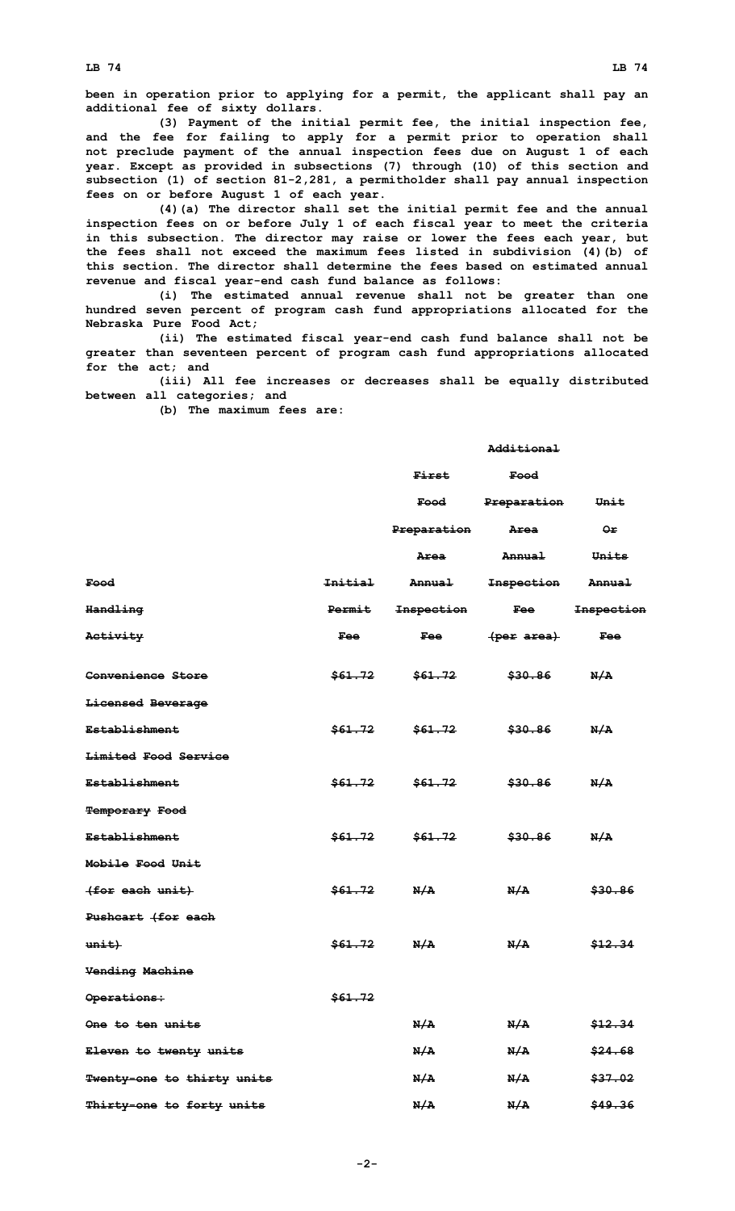**LB 74 LB 74**

**been in operation prior to applying for <sup>a</sup> permit, the applicant shall pay an additional fee of sixty dollars.**

**(3) Payment of the initial permit fee, the initial inspection fee, and the fee for failing to apply for <sup>a</sup> permit prior to operation shall not preclude payment of the annual inspection fees due on August 1 of each year. Except as provided in subsections (7) through (10) of this section and subsection (1) of section 81-2,281, <sup>a</sup> permitholder shall pay annual inspection fees on or before August 1 of each year.**

**(4)(a) The director shall set the initial permit fee and the annual inspection fees on or before July 1 of each fiscal year to meet the criteria in this subsection. The director may raise or lower the fees each year, but the fees shall not exceed the maximum fees listed in subdivision (4)(b) of this section. The director shall determine the fees based on estimated annual revenue and fiscal year-end cash fund balance as follows:**

**(i) The estimated annual revenue shall not be greater than one hundred seven percent of program cash fund appropriations allocated for the Nebraska Pure Food Act;**

**(ii) The estimated fiscal year-end cash fund balance shall not be greater than seventeen percent of program cash fund appropriations allocated for the act; and**

**(iii) All fee increases or decreases shall be equally distributed between all categories; and**

**(b) The maximum fees are:**

## **Additional**

|                                   |                    | First                 | Food                  |                   |
|-----------------------------------|--------------------|-----------------------|-----------------------|-------------------|
|                                   |                    | <del>Food</del> Food  | Preparation           | Unit              |
|                                   |                    | Preparation           | Area                  | ⊖⊭                |
|                                   |                    | Area                  | <b>Annual</b>         | Units             |
| Food                              | <b>Initial</b>     | <del>Annual</del>     | <del>Inspection</del> | <del>Annual</del> |
| <del>Handling</del>               | Permit             | <del>Inspection</del> | <b>Fee</b>            | <b>Inspection</b> |
| Activity                          | Fee                | Fee                   | <del>(per area)</del> | <b>Fee</b>        |
| Convenience Store                 | \$61.72            | <del>\$61.72</del>    | <del>\$30.86</del>    | N/A               |
| Licensed Beverage                 |                    |                       |                       |                   |
| <b>Establishment</b>              | \$61.72            | \$61.72               | <del>\$30.86</del>    | N/A               |
| Limited Food Service              |                    |                       |                       |                   |
| <b>Establishment</b>              | <del>\$61.72</del> | \$61.72               | <del>\$30.86</del>    | N/A               |
| <b>Temporary Food</b>             |                    |                       |                       |                   |
| <del>Establishment</del>          | <del>\$61.72</del> | <del>\$61.72</del>    | <del>\$30.86</del>    | N/A               |
| Mobile Food Unit                  |                    |                       |                       |                   |
| (for each unit)                   | <del>\$61.72</del> | N/A                   | N/A                   | \$30.86           |
| Pushcart (for each                |                    |                       |                       |                   |
| $unit$ )                          | <del>\$61.72</del> | N/A                   | N/A                   | \$12.34           |
| <b>Vending Machine</b>            |                    |                       |                       |                   |
| Operations:                       | \$61.72            |                       |                       |                   |
| One to ten units                  |                    | N/A                   | N/A                   | \$12.34           |
| Eleven to twenty units            |                    | N/A                   | N/A                   | \$24.68           |
| <b>Twenty-one to thirty units</b> |                    | N/A                   | N/A                   | \$37.02           |
| Thirty-one to forty units         |                    | N/A                   | N/A                   | \$49.36           |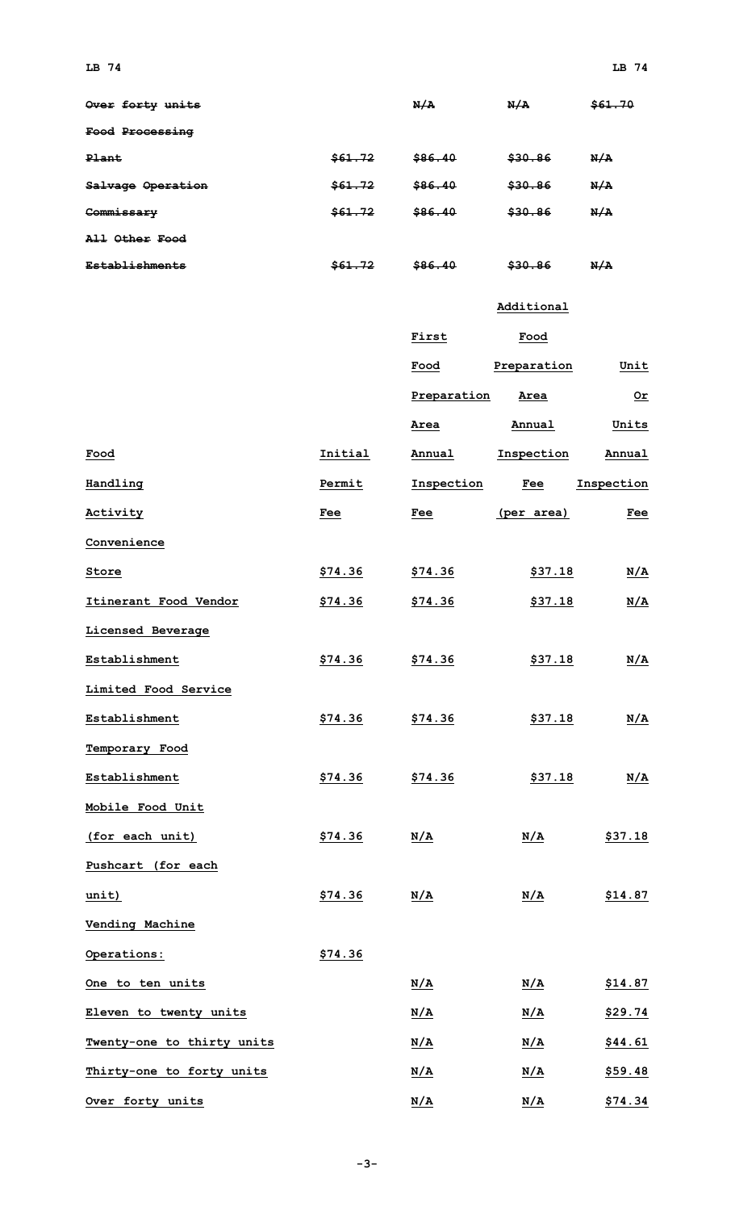| Over forty units      |         | N/A     | N/A     | \$61.70 |
|-----------------------|---------|---------|---------|---------|
| Food Processing       |         |         |         |         |
| Plant                 | \$61.72 | \$86.40 | \$30.86 | N/A     |
| Salvage Operation     | \$61.72 | \$86.40 | \$30.86 | N/A     |
| Commissary            | \$61.72 | \$86.40 | \$30.86 | N/A     |
| All Other Food        |         |         |         |         |
| <b>Establishments</b> | \$61.72 | \$86.40 | \$30.86 | N/A     |

## **Additional**

|                            |         | First          | Food        |                |
|----------------------------|---------|----------------|-------------|----------------|
|                            |         | Food           | Preparation | Unit           |
|                            |         | Preparation    | Area        | $Or$           |
|                            |         | Area           | Annual      | Units          |
| <u>Food</u>                | Initial | Annual         | Inspection  | Annual         |
| Handling                   | Permit  | Inspection     | Fee         | Inspection     |
| Activity                   | Fee     | Fee            | (per area)  | <b>Fee</b>     |
| Convenience                |         |                |             |                |
| Store                      | \$74.36 | \$74.36        | \$37.18     | <u>N/A</u>     |
| Itinerant Food Vendor      | \$74.36 | \$74.36        | \$37.18     | <u>N/A</u>     |
| Licensed Beverage          |         |                |             |                |
| Establishment              | \$74.36 | <u>\$74.36</u> | \$37.18     | <u>N/A</u>     |
| Limited Food Service       |         |                |             |                |
| Establishment              | \$74.36 | \$74.36        | \$37.18     | <u>N/A</u>     |
| Temporary Food             |         |                |             |                |
| Establishment              | \$74.36 | \$74.36        | \$37.18     | <u>N/A</u>     |
| Mobile Food Unit           |         |                |             |                |
| (for each unit)            | \$74.36 | N/A            | N/A         | \$37.18        |
| Pushcart (for each         |         |                |             |                |
| unit)                      | \$74.36 | N/A            | N/A         | \$14.87        |
| Vending Machine            |         |                |             |                |
| Operations:                | \$74.36 |                |             |                |
| One to ten units           |         | N/A            | N/A         | <u>\$14.87</u> |
| Eleven to twenty units     |         | N/A            | <u>N/A</u>  | <u>\$29.74</u> |
| Twenty-one to thirty units |         | N/A            | N/A         | \$44.61        |
| Thirty-one to forty units  |         | N/A            | N/A         | \$59.48        |
| Over forty units           |         | <u>N/A</u>     | N/A         | \$74.34        |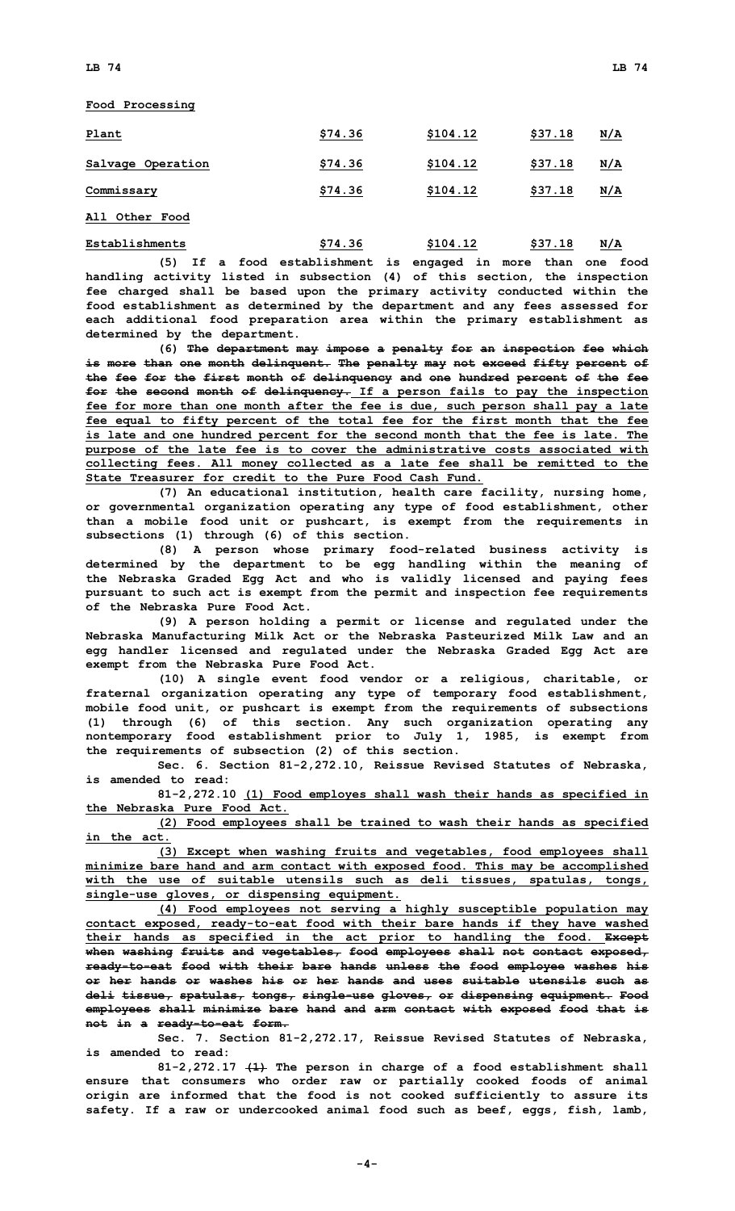**Food Processing**

| Plant             | \$74.36 | \$104.12 | \$37.18 | N/A        |
|-------------------|---------|----------|---------|------------|
| Salvage Operation | \$74.36 | \$104.12 | \$37.18 | <u>N/A</u> |
| Commissary        | \$74.36 | \$104.12 | \$37.18 | <u>N/A</u> |
| All Other Food    |         |          |         |            |

**Establishments \$74.36 \$104.12 \$37.18 N/A**

**(5) If <sup>a</sup> food establishment is engaged in more than one food handling activity listed in subsection (4) of this section, the inspection fee charged shall be based upon the primary activity conducted within the food establishment as determined by the department and any fees assessed for each additional food preparation area within the primary establishment as determined by the department.**

**(6) The department may impose <sup>a</sup> penalty for an inspection fee which is more than one month delinquent. The penalty may not exceed fifty percent of the fee for the first month of delinquency and one hundred percent of the fee for the second month of delinquency. If <sup>a</sup> person fails to pay the inspection fee for more than one month after the fee is due, such person shall pay <sup>a</sup> late fee equal to fifty percent of the total fee for the first month that the fee is late and one hundred percent for the second month that the fee is late. The purpose of the late fee is to cover the administrative costs associated with collecting fees. All money collected as <sup>a</sup> late fee shall be remitted to the State Treasurer for credit to the Pure Food Cash Fund.**

**(7) An educational institution, health care facility, nursing home, or governmental organization operating any type of food establishment, other than <sup>a</sup> mobile food unit or pushcart, is exempt from the requirements in subsections (1) through (6) of this section.**

**(8) <sup>A</sup> person whose primary food-related business activity is determined by the department to be egg handling within the meaning of the Nebraska Graded Egg Act and who is validly licensed and paying fees pursuant to such act is exempt from the permit and inspection fee requirements of the Nebraska Pure Food Act.**

**(9) <sup>A</sup> person holding <sup>a</sup> permit or license and regulated under the Nebraska Manufacturing Milk Act or the Nebraska Pasteurized Milk Law and an egg handler licensed and regulated under the Nebraska Graded Egg Act are exempt from the Nebraska Pure Food Act.**

**(10) <sup>A</sup> single event food vendor or <sup>a</sup> religious, charitable, or fraternal organization operating any type of temporary food establishment, mobile food unit, or pushcart is exempt from the requirements of subsections (1) through (6) of this section. Any such organization operating any nontemporary food establishment prior to July 1, 1985, is exempt from the requirements of subsection (2) of this section.**

**Sec. 6. Section 81-2,272.10, Reissue Revised Statutes of Nebraska, is amended to read:**

**81-2,272.10 (1) Food employes shall wash their hands as specified in the Nebraska Pure Food Act.**

**(2) Food employees shall be trained to wash their hands as specified in the act.**

**(3) Except when washing fruits and vegetables, food employees shall minimize bare hand and arm contact with exposed food. This may be accomplished with the use of suitable utensils such as deli tissues, spatulas, tongs, single-use gloves, or dispensing equipment.**

**(4) Food employees not serving <sup>a</sup> highly susceptible population may contact exposed, ready-to-eat food with their bare hands if they have washed their hands as specified in the act prior to handling the food. Except when washing fruits and vegetables, food employees shall not contact exposed, ready-to-eat food with their bare hands unless the food employee washes his or her hands or washes his or her hands and uses suitable utensils such as deli tissue, spatulas, tongs, single-use gloves, or dispensing equipment. Food employees shall minimize bare hand and arm contact with exposed food that is not in <sup>a</sup> ready-to-eat form.**

**Sec. 7. Section 81-2,272.17, Reissue Revised Statutes of Nebraska, is amended to read:**

**81-2,272.17 (1) The person in charge of <sup>a</sup> food establishment shall ensure that consumers who order raw or partially cooked foods of animal origin are informed that the food is not cooked sufficiently to assure its safety. If <sup>a</sup> raw or undercooked animal food such as beef, eggs, fish, lamb,**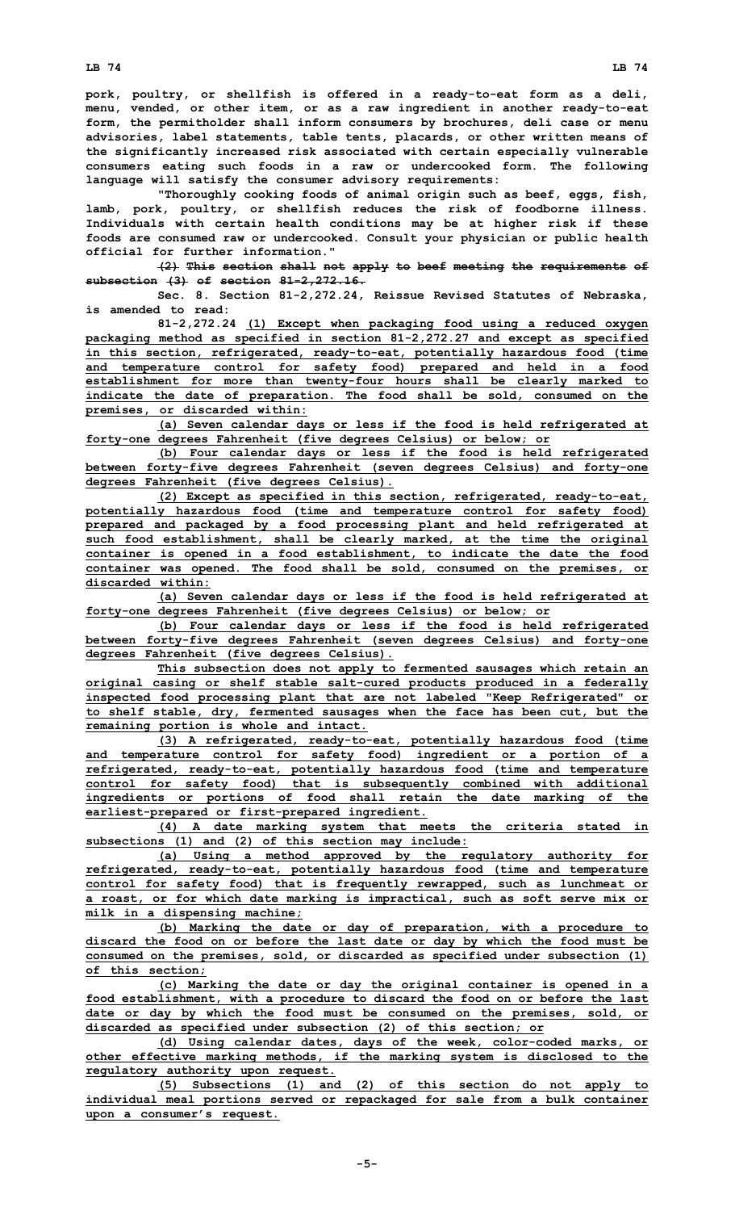**pork, poultry, or shellfish is offered in <sup>a</sup> ready-to-eat form as <sup>a</sup> deli, menu, vended, or other item, or as <sup>a</sup> raw ingredient in another ready-to-eat form, the permitholder shall inform consumers by brochures, deli case or menu advisories, label statements, table tents, placards, or other written means of the significantly increased risk associated with certain especially vulnerable consumers eating such foods in <sup>a</sup> raw or undercooked form. The following language will satisfy the consumer advisory requirements:**

**"Thoroughly cooking foods of animal origin such as beef, eggs, fish, lamb, pork, poultry, or shellfish reduces the risk of foodborne illness. Individuals with certain health conditions may be at higher risk if these foods are consumed raw or undercooked. Consult your physician or public health official for further information."**

**(2) This section shall not apply to beef meeting the requirements of subsection (3) of section 81-2,272.16.**

**Sec. 8. Section 81-2,272.24, Reissue Revised Statutes of Nebraska, is amended to read:**

**81-2,272.24 (1) Except when packaging food using <sup>a</sup> reduced oxygen packaging method as specified in section 81-2,272.27 and except as specified in this section, refrigerated, ready-to-eat, potentially hazardous food (time and temperature control for safety food) prepared and held in <sup>a</sup> food establishment for more than twenty-four hours shall be clearly marked to indicate the date of preparation. The food shall be sold, consumed on the premises, or discarded within:**

**(a) Seven calendar days or less if the food is held refrigerated at forty-one degrees Fahrenheit (five degrees Celsius) or below; or**

**(b) Four calendar days or less if the food is held refrigerated between forty-five degrees Fahrenheit (seven degrees Celsius) and forty-one degrees Fahrenheit (five degrees Celsius).**

**(2) Except as specified in this section, refrigerated, ready-to-eat, potentially hazardous food (time and temperature control for safety food) prepared and packaged by <sup>a</sup> food processing plant and held refrigerated at such food establishment, shall be clearly marked, at the time the original container is opened in <sup>a</sup> food establishment, to indicate the date the food container was opened. The food shall be sold, consumed on the premises, or discarded within:**

**(a) Seven calendar days or less if the food is held refrigerated at forty-one degrees Fahrenheit (five degrees Celsius) or below; or**

**(b) Four calendar days or less if the food is held refrigerated between forty-five degrees Fahrenheit (seven degrees Celsius) and forty-one degrees Fahrenheit (five degrees Celsius).**

**This subsection does not apply to fermented sausages which retain an original casing or shelf stable salt-cured products produced in <sup>a</sup> federally inspected food processing plant that are not labeled "Keep Refrigerated" or to shelf stable, dry, fermented sausages when the face has been cut, but the remaining portion is whole and intact.**

**(3) <sup>A</sup> refrigerated, ready-to-eat, potentially hazardous food (time and temperature control for safety food) ingredient or <sup>a</sup> portion of <sup>a</sup> refrigerated, ready-to-eat, potentially hazardous food (time and temperature control for safety food) that is subsequently combined with additional ingredients or portions of food shall retain the date marking of the earliest-prepared or first-prepared ingredient.**

**(4) <sup>A</sup> date marking system that meets the criteria stated in subsections (1) and (2) of this section may include:**

**(a) Using <sup>a</sup> method approved by the regulatory authority for refrigerated, ready-to-eat, potentially hazardous food (time and temperature control for safety food) that is frequently rewrapped, such as lunchmeat or <sup>a</sup> roast, or for which date marking is impractical, such as soft serve mix or milk in <sup>a</sup> dispensing machine;**

**(b) Marking the date or day of preparation, with <sup>a</sup> procedure to discard the food on or before the last date or day by which the food must be consumed on the premises, sold, or discarded as specified under subsection (1) of this section;**

**(c) Marking the date or day the original container is opened in <sup>a</sup> food establishment, with <sup>a</sup> procedure to discard the food on or before the last date or day by which the food must be consumed on the premises, sold, or discarded as specified under subsection (2) of this section; or**

**(d) Using calendar dates, days of the week, color-coded marks, or other effective marking methods, if the marking system is disclosed to the regulatory authority upon request.**

**(5) Subsections (1) and (2) of this section do not apply to individual meal portions served or repackaged for sale from <sup>a</sup> bulk container upon <sup>a</sup> consumer's request.**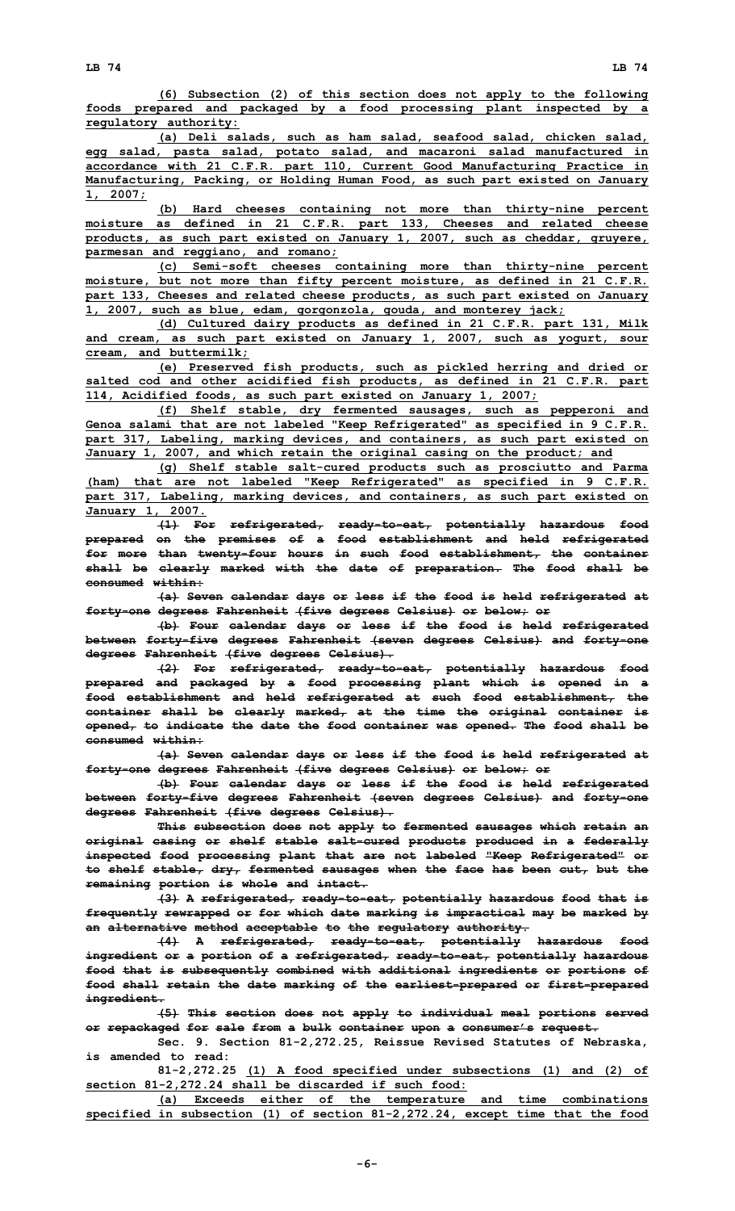**(6) Subsection (2) of this section does not apply to the following foods prepared and packaged by <sup>a</sup> food processing plant inspected by <sup>a</sup> regulatory authority:**

**(a) Deli salads, such as ham salad, seafood salad, chicken salad, egg salad, pasta salad, potato salad, and macaroni salad manufactured in accordance with 21 C.F.R. part 110, Current Good Manufacturing Practice in Manufacturing, Packing, or Holding Human Food, as such part existed on January 1, 2007;**

**(b) Hard cheeses containing not more than thirty-nine percent moisture as defined in 21 C.F.R. part 133, Cheeses and related cheese products, as such part existed on January 1, 2007, such as cheddar, gruyere, parmesan and reggiano, and romano;**

**(c) Semi-soft cheeses containing more than thirty-nine percent moisture, but not more than fifty percent moisture, as defined in 21 C.F.R. part 133, Cheeses and related cheese products, as such part existed on January 1, 2007, such as blue, edam, gorgonzola, gouda, and monterey jack;**

**(d) Cultured dairy products as defined in 21 C.F.R. part 131, Milk and cream, as such part existed on January 1, 2007, such as yogurt, sour cream, and buttermilk;**

**(e) Preserved fish products, such as pickled herring and dried or salted cod and other acidified fish products, as defined in 21 C.F.R. part 114, Acidified foods, as such part existed on January 1, 2007;**

**(f) Shelf stable, dry fermented sausages, such as pepperoni and Genoa salami that are not labeled "Keep Refrigerated" as specified in 9 C.F.R. part 317, Labeling, marking devices, and containers, as such part existed on January 1, 2007, and which retain the original casing on the product; and**

**(g) Shelf stable salt-cured products such as prosciutto and Parma (ham) that are not labeled "Keep Refrigerated" as specified in 9 C.F.R. part 317, Labeling, marking devices, and containers, as such part existed on January 1, 2007.**

**(1) For refrigerated, ready-to-eat, potentially hazardous food prepared on the premises of <sup>a</sup> food establishment and held refrigerated for more than twenty-four hours in such food establishment, the container shall be clearly marked with the date of preparation. The food shall be consumed within:**

**(a) Seven calendar days or less if the food is held refrigerated at forty-one degrees Fahrenheit (five degrees Celsius) or below; or**

**(b) Four calendar days or less if the food is held refrigerated between forty-five degrees Fahrenheit (seven degrees Celsius) and forty-one degrees Fahrenheit (five degrees Celsius).**

**(2) For refrigerated, ready-to-eat, potentially hazardous food prepared and packaged by <sup>a</sup> food processing plant which is opened in <sup>a</sup> food establishment and held refrigerated at such food establishment, the container shall be clearly marked, at the time the original container is opened, to indicate the date the food container was opened. The food shall be consumed within:**

**(a) Seven calendar days or less if the food is held refrigerated at forty-one degrees Fahrenheit (five degrees Celsius) or below; or**

**(b) Four calendar days or less if the food is held refrigerated between forty-five degrees Fahrenheit (seven degrees Celsius) and forty-one degrees Fahrenheit (five degrees Celsius).**

**This subsection does not apply to fermented sausages which retain an original casing or shelf stable salt-cured products produced in <sup>a</sup> federally inspected food processing plant that are not labeled "Keep Refrigerated" or to shelf stable, dry, fermented sausages when the face has been cut, but the remaining portion is whole and intact.**

**(3) <sup>A</sup> refrigerated, ready-to-eat, potentially hazardous food that is frequently rewrapped or for which date marking is impractical may be marked by an alternative method acceptable to the regulatory authority.**

**(4) <sup>A</sup> refrigerated, ready-to-eat, potentially hazardous food ingredient or <sup>a</sup> portion of <sup>a</sup> refrigerated, ready-to-eat, potentially hazardous food that is subsequently combined with additional ingredients or portions of food shall retain the date marking of the earliest-prepared or first-prepared ingredient.**

**(5) This section does not apply to individual meal portions served or repackaged for sale from <sup>a</sup> bulk container upon <sup>a</sup> consumer's request.**

**Sec. 9. Section 81-2,272.25, Reissue Revised Statutes of Nebraska, is amended to read:**

**81-2,272.25 (1) <sup>A</sup> food specified under subsections (1) and (2) of section 81-2,272.24 shall be discarded if such food:**

**(a) Exceeds either of the temperature and time combinations specified in subsection (1) of section 81-2,272.24, except time that the food**